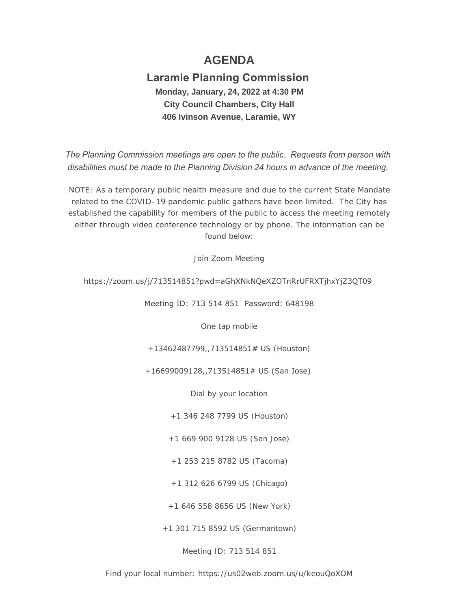# **AGENDA**

## **Laramie Planning Commission Monday, January, 24, 2022 at 4:30 PM City Council Chambers, City Hall 406 Ivinson Avenue, Laramie, WY**

*The Planning Commission meetings are open to the public. Requests from person with disabilities must be made to the Planning Division 24 hours in advance of the meeting.*

NOTE: As a temporary public health measure and due to the current State Mandate related to the COVID-19 pandemic public gathers have been limited. The City has established the capability for members of the public to access the meeting remotely either through video conference technology or by phone. The information can be found below:

Join Zoom Meeting

## https://zoom.us/j/713514851?pwd=aGhXNkNQeXZOTnRrUFRXTjhxYjZ3QT09

Meeting ID: 713 514 851 Password: 648198

One tap mobile

+13462487799,,713514851# US (Houston)

## +16699009128,,713514851# US (San Jose)

Dial by your location

+1 346 248 7799 US (Houston)

+1 669 900 9128 US (San Jose)

+1 253 215 8782 US (Tacoma)

+1 312 626 6799 US (Chicago)

+1 646 558 8656 US (New York)

+1 301 715 8592 US (Germantown)

Meeting ID: 713 514 851

Find your local number: https://us02web.zoom.us/u/keouQoXOM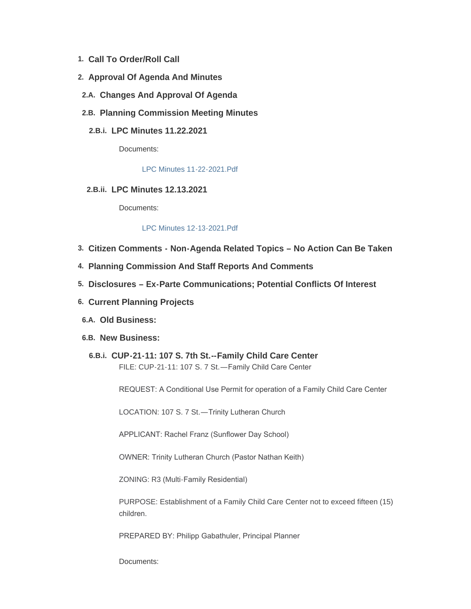- **Call To Order/Roll Call 1.**
- **Approval Of Agenda And Minutes 2.**
- **Changes And Approval Of Agenda 2.A.**
- **Planning Commission Meeting Minutes 2.B.**
	- **LPC Minutes 11.22.2021 2.B.i.**

Documents:

[LPC Minutes 11-22-2021.Pdf](https://cityoflaramie.org/AgendaCenter/ViewFile/Item/11703?fileID=15659)

**LPC Minutes 12.13.2021 2.B.ii.**

Documents:

#### [LPC Minutes 12-13-2021.Pdf](https://cityoflaramie.org/AgendaCenter/ViewFile/Item/11704?fileID=15660)

- **Citizen Comments - Non-Agenda Related Topics – No Action Can Be Taken 3.**
- **Planning Commission And Staff Reports And Comments 4.**
- **Disclosures – Ex-Parte Communications; Potential Conflicts Of Interest 5.**
- **Current Planning Projects 6.**
- **Old Business: 6.A.**
- **New Business: 6.B.**
	- **CUP-21-11: 107 S. 7th St.--Family Child Care Center 6.B.i.** FILE: CUP-21-11: 107 S. 7 St.—Family Child Care Center

REQUEST: A Conditional Use Permit for operation of a Family Child Care Center

LOCATION: 107 S. 7 St.—Trinity Lutheran Church

APPLICANT: Rachel Franz (Sunflower Day School)

OWNER: Trinity Lutheran Church (Pastor Nathan Keith)

ZONING: R3 (Multi-Family Residential)

PURPOSE: Establishment of a Family Child Care Center not to exceed fifteen (15) children.

PREPARED BY: Philipp Gabathuler, Principal Planner

Documents: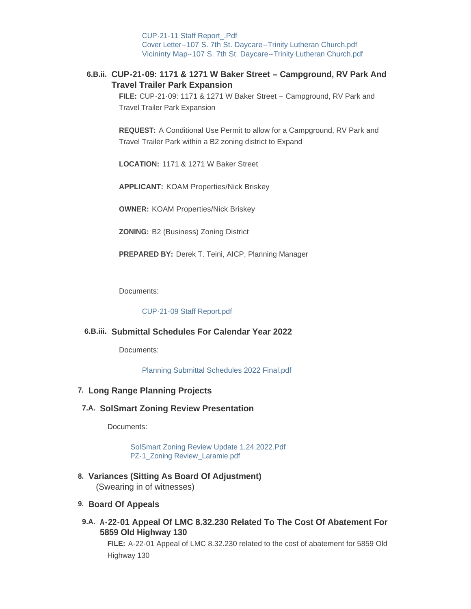[CUP-21-11 Staff Report\\_.Pdf](https://cityoflaramie.org/AgendaCenter/ViewFile/Item/11715?fileID=15668) [Cover Letter--107 S. 7th St. Daycare--Trinity Lutheran Church.pdf](https://cityoflaramie.org/AgendaCenter/ViewFile/Item/11715?fileID=15669) [Vicininty Map--107 S. 7th St. Daycare--Trinity Lutheran Church.pdf](https://cityoflaramie.org/AgendaCenter/ViewFile/Item/11715?fileID=15670)

## **CUP-21-09: 1171 & 1271 W Baker Street – Campground, RV Park And 6.B.ii. Travel Trailer Park Expansion**

**FILE:** CUP-21-09: 1171 & 1271 W Baker Street – Campground, RV Park and Travel Trailer Park Expansion

**REQUEST:** A Conditional Use Permit to allow for a Campground, RV Park and Travel Trailer Park within a B2 zoning district to Expand

**LOCATION:** 1171 & 1271 W Baker Street

**APPLICANT:** KOAM Properties/Nick Briskey

**OWNER:** KOAM Properties/Nick Briskey

**ZONING:** B2 (Business) Zoning District

**PREPARED BY:** Derek T. Teini, AICP, Planning Manager

Documents:

[CUP-21-09 Staff Report.pdf](https://cityoflaramie.org/AgendaCenter/ViewFile/Item/11706?fileID=15663)

## **Submittal Schedules For Calendar Year 2022 6.B.iii.**

Documents:

[Planning Submittal Schedules 2022 Final.pdf](https://cityoflaramie.org/AgendaCenter/ViewFile/Item/11652?fileID=15570)

#### **Long Range Planning Projects 7.**

#### **SolSmart Zoning Review Presentation 7.A.**

Documents:

[SolSmart Zoning Review Update 1.24.2022.Pdf](https://cityoflaramie.org/AgendaCenter/ViewFile/Item/11658?fileID=15590) [PZ-1\\_Zoning Review\\_Laramie.pdf](https://cityoflaramie.org/AgendaCenter/ViewFile/Item/11658?fileID=15591)

**Variances (Sitting As Board Of Adjustment) 8.** (Swearing in of witnesses)

#### **Board Of Appeals 9.**

**A-22-01 Appeal Of LMC 8.32.230 Related To The Cost Of Abatement For 9.A. 5859 Old Highway 130**

**FILE:** A-22-01 Appeal of LMC 8.32.230 related to the cost of abatement for 5859 Old Highway 130